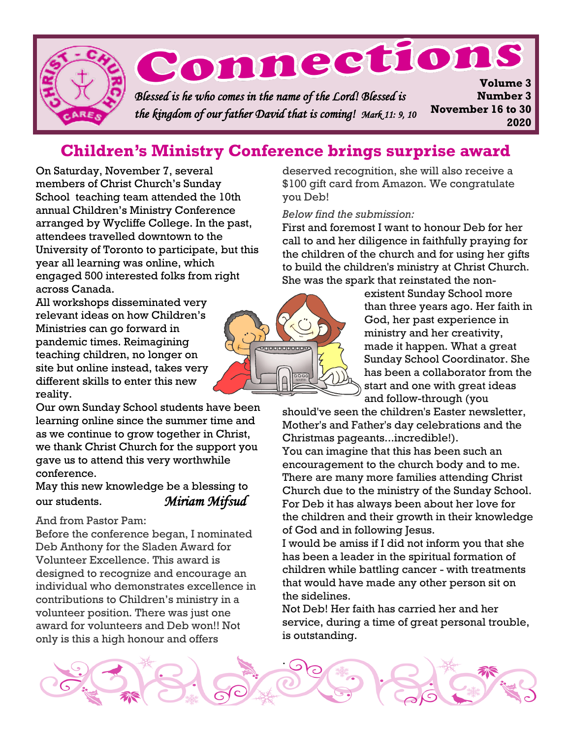

## **Children's Ministry Conference brings surprise award**

On Saturday, November 7, several members of Christ Church's Sunday School teaching team attended the 10th annual Children's Ministry Conference arranged by Wycliffe College. In the past, attendees travelled downtown to the University of Toronto to participate, but this year all learning was online, which engaged 500 interested folks from right across Canada.

All workshops disseminated very relevant ideas on how Children's Ministries can go forward in pandemic times. Reimagining teaching children, no longer on site but online instead, takes very different skills to enter this new reality.

Our own Sunday School students have been learning online since the summer time and as we continue to grow together in Christ, we thank Christ Church for the support you gave us to attend this very worthwhile conference.

May this new knowledge be a blessing to our students. *Miriam Mifsud* 

#### And from Pastor Pam:

Before the conference began, I nominated Deb Anthony for the Sladen Award for Volunteer Excellence. This award is designed to recognize and encourage an individual who demonstrates excellence in contributions to Children's ministry in a volunteer position. There was just one award for volunteers and Deb won!! Not only is this a high honour and offers

deserved recognition, she will also receive a \$100 gift card from Amazon. We congratulate you Deb!

*Below find the submission:*

First and foremost I want to honour Deb for her call to and her diligence in faithfully praying for the children of the church and for using her gifts to build the children's ministry at Christ Church. She was the spark that reinstated the non-



existent Sunday School more than three years ago. Her faith in God, her past experience in ministry and her creativity, made it happen. What a great Sunday School Coordinator. She has been a collaborator from the start and one with great ideas and follow-through (you

should've seen the children's Easter newsletter, Mother's and Father's day celebrations and the Christmas pageants...incredible!).

You can imagine that this has been such an encouragement to the church body and to me. There are many more families attending Christ Church due to the ministry of the Sunday School. For Deb it has always been about her love for the children and their growth in their knowledge of God and in following Jesus.

I would be amiss if I did not inform you that she has been a leader in the spiritual formation of children while battling cancer - with treatments that would have made any other person sit on the sidelines.

Not Deb! Her faith has carried her and her service, during a time of great personal trouble, is outstanding.

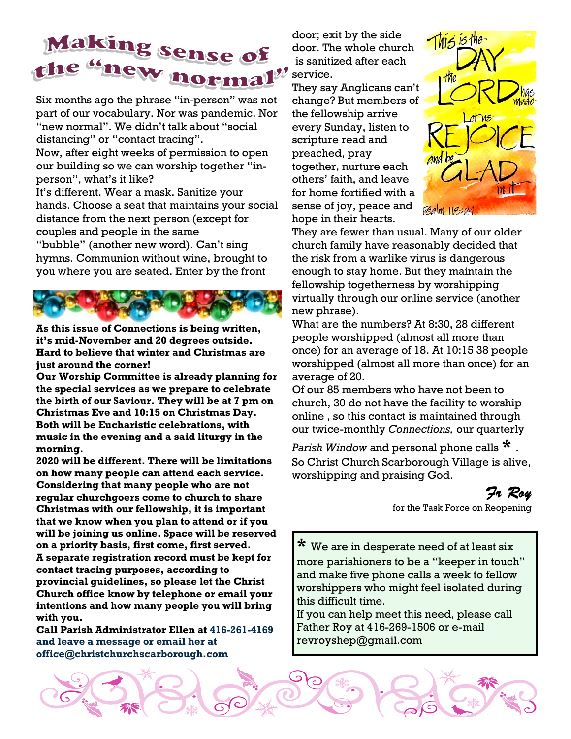# Making sense of the "new normal" service.

Six months ago the phrase "in-person" was not part of our vocabulary. Nor was pandemic. Nor "new normal". We didn't talk about "social distancing" or "contact tracing".

Now, after eight weeks of permission to open our building so we can worship together "inperson", what's it like?

It's different. Wear a mask. Sanitize your hands. Choose a seat that maintains your social distance from the next person (except for couples and people in the same

"bubble" (another new word). Can't sing hymns. Communion without wine, brought to you where you are seated. Enter by the front



**As this issue of Connections is being written, it's mid-November and 20 degrees outside. Hard to believe that winter and Christmas are just around the corner!** 

**Our Worship Committee is already planning for the special services as we prepare to celebrate the birth of our Saviour. They will be at 7 pm on Christmas Eve and 10:15 on Christmas Day. Both will be Eucharistic celebrations, with music in the evening and a said liturgy in the morning.** 

**2020 will be different. There will be limitations on how many people can attend each service. Considering that many people who are not regular churchgoers come to church to share Christmas with our fellowship, it is important that we know when you plan to attend or if you will be joining us online. Space will be reserved on a priority basis, first come, first served. A separate registration record must be kept for contact tracing purposes, according to provincial guidelines, so please let the Christ Church office know by telephone or email your intentions and how many people you will bring with you.** 

**Call Parish Administrator Ellen at 416-261-4169 and leave a message or email her at office@christchurchscarborough.com**

door; exit by the side door. The whole church is sanitized after each

They say Anglicans can't change? But members of the fellowship arrive every Sunday, listen to scripture read and preached, pray together, nurture each others' faith, and leave for home fortified with a sense of joy, peace and hope in their hearts.



They are fewer than usual. Many of our older church family have reasonably decided that the risk from a warlike virus is dangerous enough to stay home. But they maintain the fellowship togetherness by worshipping virtually through our online service (another new phrase).

What are the numbers? At 8:30, 28 different people worshipped (almost all more than once) for an average of 18. At 10:15 38 people worshipped (almost all more than once) for an average of 20.

Of our 85 members who have not been to church, 30 do not have the facility to worship online , so this contact is maintained through our twice-monthly *Connections,* our quarterly

*Parish Window* and personal phone calls **\*** . So Christ Church Scarborough Village is alive, worshipping and praising God.

*Fr Roy* 

for the Task Force on Reopening

**\*** We are in desperate need of at least six more parishioners to be a "keeper in touch" and make five phone calls a week to fellow worshippers who might feel isolated during this difficult time.

If you can help meet this need, please call Father Roy at 416-269-1506 or e-mail revroyshep@gmail.com

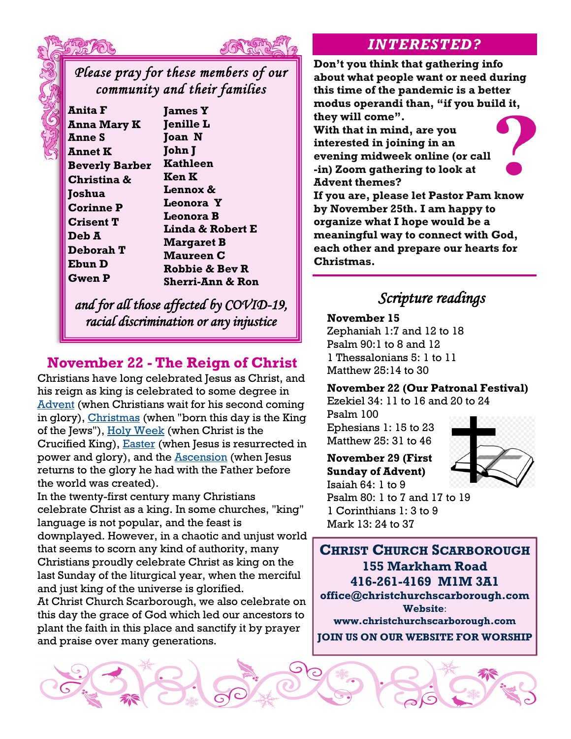



### *Please pray for these members of our community and their families*

**Anita F Anna Mary K Anne S Annet K Beverly Barber Christina & Joshua Corinne P Crisent T Deb A Deborah T Ebun D Gwen P**

**James Y Jenille L Joan N John J Kathleen Ken K Lennox & Leonora Y Leonora B Linda & Robert E Margaret B Maureen C Robbie & Bev R Sherri-Ann & Ron**

*and for all those affected by COVID-19, racial discrimination or any injustice* 

### **November 22 - The Reign of Christ**

Christians have long celebrated Jesus as Christ, and his reign as king is celebrated to some degree in **[Advent](https://prayerist.com/advent.html)** (when Christians wait for his second coming in glory), [Christmas](https://prayerist.com/christmas.html) (when "born this day is the King of the Jews"), [Holy Week](https://prayerist.com/holyweek.html) (when Christ is the Crucified King), **[Easter](https://prayerist.com/easter.html)** (when Jesus is resurrected in power and glory), and the **Ascension** (when Jesus returns to the glory he had with the Father before the world was created).

In the twenty-first century many Christians celebrate Christ as a king. In some churches, "king" language is not popular, and the feast is downplayed. However, in a chaotic and unjust world that seems to scorn any kind of authority, many Christians proudly celebrate Christ as king on the last Sunday of the liturgical year, when the merciful and just king of the universe is glorified.

At Christ Church Scarborough, we also celebrate on this day the grace of God which led our ancestors to plant the faith in this place and sanctify it by prayer and praise over many generations.

### *INTERESTED?*

**Don't you think that gathering info about what people want or need during this time of the pandemic is a better modus operandi than, "if you build it, they will come".** 

**With that in mind, are you interested in joining in an evening midweek online (or call -in) Zoom gathering to look at Advent themes?** 

**If you are, please let Pastor Pam know by November 25th. I am happy to organize what I hope would be a meaningful way to connect with God, each other and prepare our hearts for Christmas.**

## *Scripture readings*

**November 15**

Zephaniah 1:7 and 12 to 18 Psalm 90:1 to 8 and 12 1 Thessalonians 5: 1 to 11 Matthew 25:14 to 30

#### **November 22 (Our Patronal Festival)**

Ezekiel 34: 11 to 16 and 20 to 24

Psalm 100 Ephesians 1: 15 to 23 Matthew 25: 31 to 46



**November 29 (First Sunday of Advent)** Isaiah 64: 1 to 9 Psalm 80: 1 to 7 and 17 to 19 1 Corinthians 1: 3 to 9

Mark 13: 24 to 37

**CHRIST CHURCH SCARBOROUGH 155 Markham Road 416-261-4169 M1M 3A1 office@christchurchscarborough.com Website**: **www.christchurchscarborough.com JOIN US ON OUR WEBSITE FOR WORSHIP**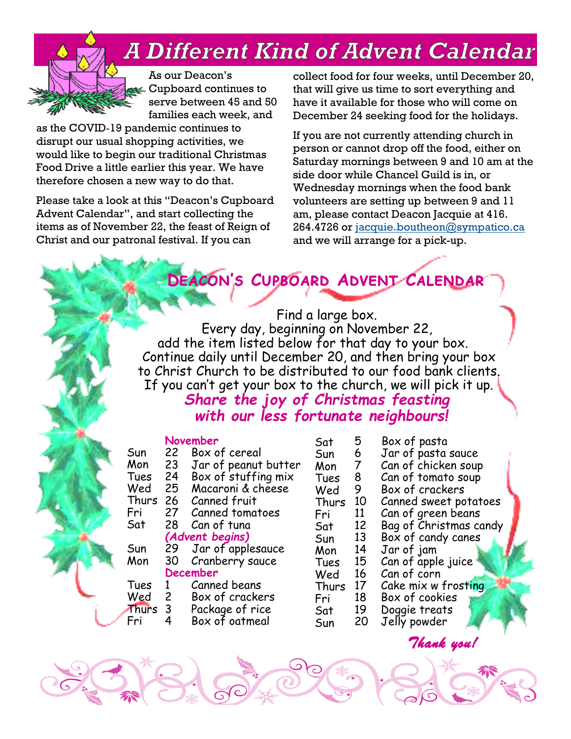## **A Different Kind of Advent Calendar**



As our Deacon's Cupboard continues to serve between 45 and 50 families each week, and

as the COVID‑19 pandemic continues to disrupt our usual shopping activities, we would like to begin our traditional Christmas Food Drive a little earlier this year. We have therefore chosen a new way to do that.

Please take a look at this "Deacon's Cupboard Advent Calendar", and start collecting the items as of November 22, the feast of Reign of Christ and our patronal festival. If you can

collect food for four weeks, until December 20, that will give us time to sort everything and have it available for those who will come on December 24 seeking food for the holidays.

If you are not currently attending church in person or cannot drop off the food, either on Saturday mornings between 9 and 10 am at the side door while Chancel Guild is in, or Wednesday mornings when the food bank volunteers are setting up between 9 and 11 am, please contact Deacon Jacquie at 416. 264.4726 or [jacquie.boutheon@sympatico.ca](about:blank) and we will arrange for a pick-up.

## **Deacon's Cupboard Advent Calendar**

 Find a large box. Every day, beginning on November 22, add the item listed below for that day to your box. Continue daily until December 20, and then bring your box to Christ Church to be distributed to our food bank clients. If you can't get your box to the church, we will pick it up.

### *Share the joy of Christmas feasting with our less fortunate neighbours!*

### **November**

| Sun   | 22              | Box of cereal        | Sun  |
|-------|-----------------|----------------------|------|
| Mon   | 23              | Jar of peanut butter | Mon  |
| Tues  | 24              | Box of stuffing mix  | Tue: |
| Wed   | 25              | Macaroni & cheese    | Weo  |
| Thurs | 26              | Canned fruit         | Thu  |
| Fri   | 27              | Canned tomatoes      | Fri  |
| Sat   | 28              | Can of tuna          | Sat  |
|       |                 | (Advent begins)      | Sun  |
| Sun   | 29              | Jar of applesauce    | Mon  |
| Mon   | 30              | Cranberry sauce      | Tue: |
|       | <b>December</b> |                      | Weo  |
| Tues  | 1               | Canned beans         | Thu  |
| Wed   | $\mathsf{2}$    | Box of crackers      | Fri  |
| Thurs | 3               | Package of rice      | Sat  |
| Fri   | 4               | Box of oatmeal       | Sun  |

| Sat   | 5  | Box of pasta           |  |
|-------|----|------------------------|--|
| Sun   | 6  | Jar of pasta sauce     |  |
| Mon   | 7  | Can of chicken soup    |  |
| Tues  | 8  | Can of tomato soup     |  |
| Wed   | 9  | Box of crackers        |  |
| Thurs | 10 | Canned sweet potatoes  |  |
| Fri   | 11 | Can of green beans     |  |
| Sat   | 12 | Bag of Christmas candy |  |
| Sun   | 13 | Box of candy canes     |  |
| Mon   | 14 | Jar of jam             |  |
| Tues  | 15 | Can of apple juice     |  |
| Wed   | 16 | Can of corn            |  |
| Thurs | 17 | Cake mix w frosting    |  |
| Fri   | 18 | Box of cookies         |  |
| Sat   | 19 | Doggie treats          |  |

Box of cookies 19 Doggie treats

20 Jelly powder

 *Thank you!*